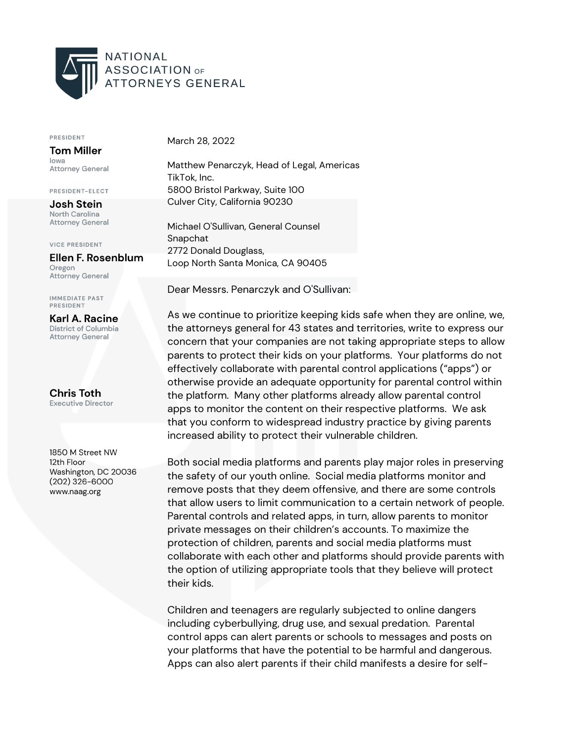

## PRESIDENT

**Tom Miller** lowa **Attorney General** 

PRESIDENT-ELECT

**Josh Stein** North Carolina **Attorney General** 

**VICE PRESIDENT** 

## Ellen F. Rosenblum

Oregon Attorney General

**IMMEDIATE PAST** PRESIDENT

Karl A. Racine District of Columbia **Attorney General** 

**Chris Toth Executive Director** 

1850 M Street NW 12th Floor Washington, DC 20036  $(202)$  326-6000 www.naag.org

March 28, 2022

Matthew Penarczyk, Head of Legal, Americas TikTok, Inc. 5800 Bristol Parkway, Suite 100 Culver City, California 90230

Michael O'Sullivan, General Counsel Snapchat 2772 Donald Douglass, Loop North Santa Monica, CA 90405

Dear Messrs. Penarczyk and O'Sullivan:

As we continue to prioritize keeping kids safe when they are online, we, the attorneys general for 43 states and territories, write to express our concern that your companies are not taking appropriate steps to allow parents to protect their kids on your platforms. Your platforms do not effectively collaborate with parental control applications ("apps") or otherwise provide an adequate opportunity for parental control within the platform. Many other platforms already allow parental control apps to monitor the content on their respective platforms. We ask that you conform to widespread industry practice by giving parents increased ability to protect their vulnerable children.

Both social media platforms and parents play major roles in preserving the safety of our youth online. Social media platforms monitor and remove posts that they deem offensive, and there are some controls that allow users to limit communication to a certain network of people. Parental controls and related apps, in turn, allow parents to monitor private messages on their children's accounts. To maximize the protection of children, parents and social media platforms must collaborate with each other and platforms should provide parents with the option of utilizing appropriate tools that they believe will protect their kids.

Children and teenagers are regularly subjected to online dangers including cyberbullying, drug use, and sexual predation. Parental control apps can alert parents or schools to messages and posts on your platforms that have the potential to be harmful and dangerous. Apps can also alert parents if their child manifests a desire for self-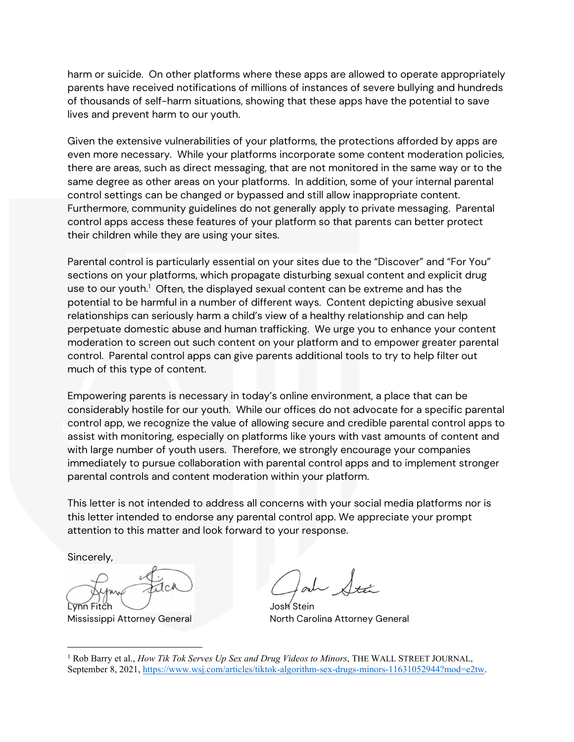harm or suicide. On other platforms where these apps are allowed to operate appropriately parents have received notifications of millions of instances of severe bullying and hundreds of thousands of self-harm situations, showing that these apps have the potential to save lives and prevent harm to our youth.

Given the extensive vulnerabilities of your platforms, the protections afforded by apps are even more necessary. While your platforms incorporate some content moderation policies, there are areas, such as direct messaging, that are not monitored in the same way or to the same degree as other areas on your platforms. In addition, some of your internal parental control settings can be changed or bypassed and still allow inappropriate content. Furthermore, community guidelines do not generally apply to private messaging. Parental control apps access these features of your platform so that parents can better protect their children while they are using your sites.

Parental control is particularly essential on your sites due to the "Discover" and "For You" sections on your platforms, which propagate disturbing sexual content and explicit drug use to our youth.<sup>[1](#page-1-0)</sup> Often, the displayed sexual content can be extreme and has the potential to be harmful in a number of different ways. Content depicting abusive sexual relationships can seriously harm a child's view of a healthy relationship and can help perpetuate domestic abuse and human trafficking. We urge you to enhance your content moderation to screen out such content on your platform and to empower greater parental control. Parental control apps can give parents additional tools to try to help filter out much of this type of content.

Empowering parents is necessary in today's online environment, a place that can be considerably hostile for our youth. While our offices do not advocate for a specific parental control app, we recognize the value of allowing secure and credible parental control apps to assist with monitoring, especially on platforms like yours with vast amounts of content and with large number of youth users. Therefore, we strongly encourage your companies immediately to pursue collaboration with parental control apps and to implement stronger parental controls and content moderation within your platform.

This letter is not intended to address all concerns with your social media platforms nor is this letter intended to endorse any parental control app. We appreciate your prompt attention to this matter and look forward to your response.

Sincerely,

Lynn Fitch Josh Stein

Mississippi Attorney General North Carolina Attorney General

<span id="page-1-0"></span><sup>1</sup> Rob Barry et al., *How Tik Tok Serves Up Sex and Drug Videos to Minors*, THE WALL STREET JOURNAL, September 8, 2021, [https://www.wsj.com/articles/tiktok-algorithm-sex-drugs-minors-11631052944?mod=e2tw.](https://www.wsj.com/articles/tiktok-algorithm-sex-drugs-minors-11631052944?mod=e2tw)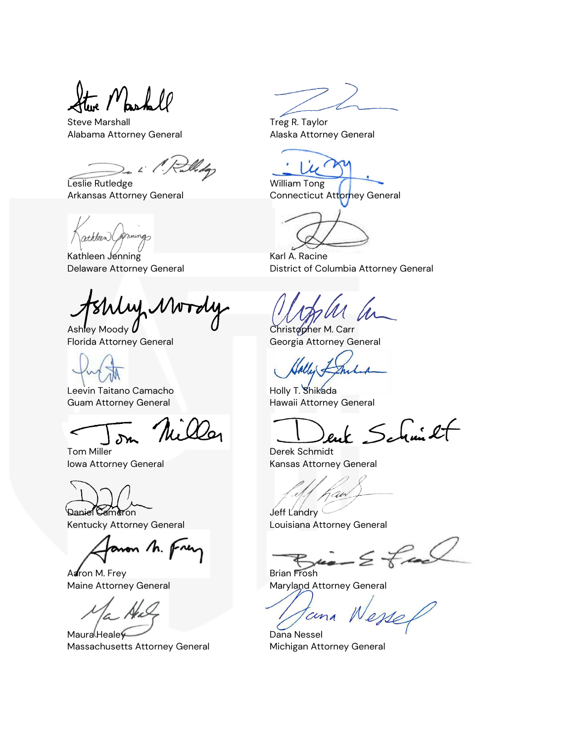- Mashell

Steve Marshall **Steve Marshall** Steve Marshall and Treg R. Taylor Alabama Attorney General **Alaska Attorney General** 

i 1. Ruth

Leslie Rutledge William Tong

athleen (permings

Kathleen Jenning Karl A. Racine

 $M_{\rm h}$ NW

Leevin Taitano Camacho **Holly T. Shikada** Guam Attorney General **Hawaii Attorney General** 

Tom Miller **National Community Community** Derek Schmidt

Daniel Cameron Jeff Landry

anon M. Frey

Aaron M. Frey Brian Frosh

Maura Healey Dana Nessel Massachusetts Attorney General **Michigan Attorney General** 

Arkansas Attorney General **Connecticut Attorney General** 

Delaware Attorney General **District of Columbia Attorney General** 

Ashley Moody **U** Christopher M. Carr Florida Attorney General Georgia Attorney General

enk Schmicht

Iowa Attorney General **Internal Communist Communist Communist Communist Communist Communist Communist Communist Communist Communist Communist Communist Communist Communist Communist Communist Communist Communist Communist** 

aw

Kentucky Attorney General Louisiana Attorney General

 $\leq$  free

Maine Attorney General Maryland Attorney General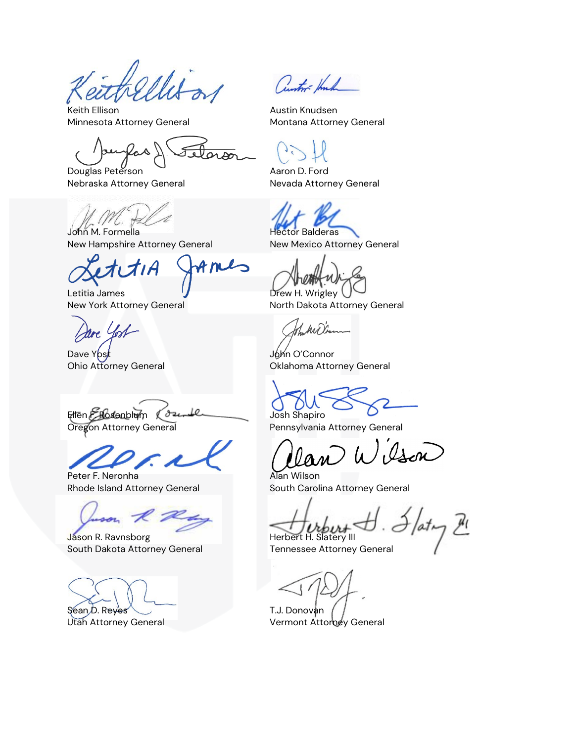Keith Ellison **Austin Knudsen** Minnesota Attorney General **Montana Attorney General** 

tero Douglas Peterson **Aaron D.** Ford

Nebraska Attorney General Nevada Attorney General

John M. Formella **Hector Balderas** New Hampshire Attorney General New Mexico Attorney General

Letitia James **Drew H. Wrigley** 

re Cost

Dave Yost **Dave Structure Common Common Common Common Common Common Common Common Common Common Common Common Common Common Common Common Common Common Common Common Common Common Common Common Common Common Common Common** 

Ellen Elessanblum (Ozenble Josh Shapiro

Peter F. Neronha **Alan Wilson** 

Jason R. Ravnsborg Herbert H. Slatery III South Dakota Attorney General Tennessee Attorney General

Sean D. Reyes T.J. Donovan

Cuntor- Huch

New York Attorney General **North Dakota Attorney General** 

Ham Millam

Ohio Attorney General Oklahoma Attorney General

Oregon Attorney General **Pennsylvania Attorney General** 

Oson

Rhode Island Attorney General South Carolina Attorney General

 $\det_{\mathcal{F}} \mathcal{L}$ 

Utah Attorney General **Vermont Attorney General**